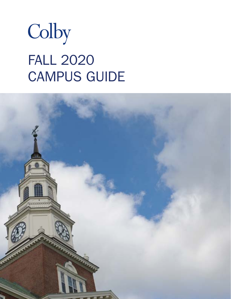

# FALL 2020 CAMPUS GUIDE

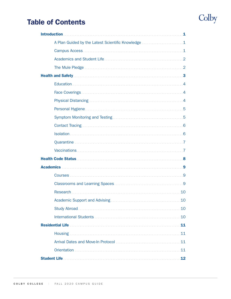## Colby

## Table of Contents

| A Plan Guided by the Latest Scientific Knowledge 1 |
|----------------------------------------------------|
|                                                    |
|                                                    |
|                                                    |
|                                                    |
|                                                    |
|                                                    |
|                                                    |
|                                                    |
|                                                    |
|                                                    |
|                                                    |
|                                                    |
|                                                    |
|                                                    |
|                                                    |
|                                                    |
|                                                    |
| 10                                                 |
| 10                                                 |
| 10                                                 |
| 10                                                 |
| 11                                                 |
| 11                                                 |
| 11                                                 |
| 11                                                 |
| 12                                                 |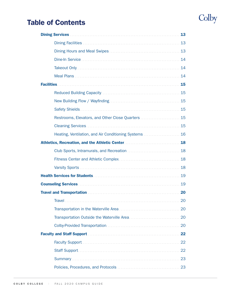# Colby

## Table of Contents

| 13                                                                                                                                                                                                                                   |
|--------------------------------------------------------------------------------------------------------------------------------------------------------------------------------------------------------------------------------------|
|                                                                                                                                                                                                                                      |
|                                                                                                                                                                                                                                      |
|                                                                                                                                                                                                                                      |
|                                                                                                                                                                                                                                      |
|                                                                                                                                                                                                                                      |
|                                                                                                                                                                                                                                      |
|                                                                                                                                                                                                                                      |
|                                                                                                                                                                                                                                      |
|                                                                                                                                                                                                                                      |
| Restrooms, Elevators, and Other Close Quarters  15                                                                                                                                                                                   |
|                                                                                                                                                                                                                                      |
| Heating, Ventilation, and Air Conditioning Systems  16                                                                                                                                                                               |
|                                                                                                                                                                                                                                      |
|                                                                                                                                                                                                                                      |
|                                                                                                                                                                                                                                      |
|                                                                                                                                                                                                                                      |
|                                                                                                                                                                                                                                      |
|                                                                                                                                                                                                                                      |
| Travel and Transportation manufacture and the contract of the contract of the contract of the contract of the contract of the contract of the contract of the contract of the contract of the contract of the contract of the        |
| . 20<br>Travel                                                                                                                                                                                                                       |
|                                                                                                                                                                                                                                      |
|                                                                                                                                                                                                                                      |
|                                                                                                                                                                                                                                      |
| <b>Faculty and Staff Support manufactures and Staff Support manufactures and Staff Support manufactures and Staff Support manufactures and Staff Support manufactures and Staff Support manufactures and Staff Support manufactu</b> |
|                                                                                                                                                                                                                                      |
|                                                                                                                                                                                                                                      |
|                                                                                                                                                                                                                                      |
|                                                                                                                                                                                                                                      |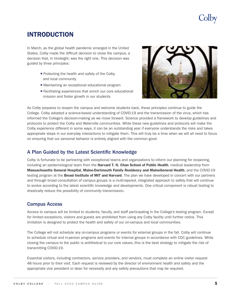## Olby

### <span id="page-3-0"></span>INTRODUCTION

In March, as the global health pandemic emerged in the United States, Colby made the difficult decision to close the campus, a decision that, in hindsight, was the right one. This decision was guided by three principles:

- Protecting the health and safety of the Colby and local community
- Maintaining an exceptional educational program
- Facilitating experiences that enrich our core educational mission and foster growth in our students



As Colby prepares to reopen the campus and welcome students back, these principles continue to guide the College. Colby adopted a science-based understanding of COVID-19 and the transmission of the virus, which has informed the College's decision-making as we move forward. Science provided a framework to develop guidelines and protocols to protect the Colby and Waterville communities. While these new guidelines and protocols will make the Colby experience different in some ways, it can be an outstanding year if everyone understands the risks and takes appropriate steps in our everyday interactions to mitigate them. This will truly be a time when we will all need to focus on ensuring that our personal behavior is entirely aligned with the common good.

### A Plan Guided by the Latest Scientific Knowledge

Colby is fortunate to be partnering with exceptional teams and organizations to inform our planning for reopening, including an epidemiological team from the Harvard T. H. Chan School of Public Health, medical leadership from Massachusetts General Hospital, Maine-Dartmouth Family Residency and MaineGeneral Health, and the COVID-19 testing program at the **Broad Institute of MIT and Harvard**. The plan we have developed in concert with our partners and through broad consultation of campus groups is a multi-layered, integrated approach to safety that will continue to evolve according to the latest scientific knowledge and developments. One critical component is robust testing to drastically reduce the possibility of community transmission.

### Campus Access

Access to campus will be limited to students, faculty, and staff participating in the College's testing program. Except for limited exceptions, visitors and guests are prohibited from using any Colby facility until further notice. This limitation is designed to protect the health and safety of our on-campus and local communities.

The College will not schedule any on-campus programs or events for external groups in the fall. Colby will continue to schedule virtual and in-person programs and events for internal groups in accordance with CDC guidelines. While closing the campus to the public is antithetical to our core values, this is the best strategy to mitigate the risk of transmitting COVID-19.

Essential visitors, including contractors, service providers, and vendors, must complete an online visitor request 48 hours prior to their visit. Each request is reviewed by the director of environment health and safety and the appropriate vice president or dean for necessity and any safety precautions that may be required.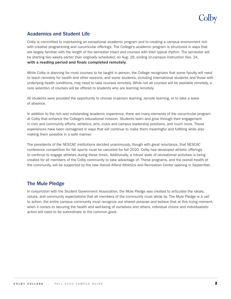#### <span id="page-4-0"></span>**Academics and Student Life** .

Colby is committed to maintaining an exceptional academic program and to creating a campus environment rich with creative programming and cocurricular offerings. The College's academic program is structured in ways that are largely familiar, with the length of the semester intact and courses with their typical rhythm. The semester will be starting two weeks earlier than originally scheduled, on Aug. 26, ending on-campus instruction Nov. 24, with a reading period and finals completed remotely.

While Colby is planning for most courses to be taught in person, the College recognizes that some faculty will need to teach remotely for health and other reasons, and some students, including international students and those with underlying health conditions, may need to take courses remotely. While not all courses will be available remotely, a core selection of courses will be offered to students who are learning remotely.

All students were provided the opportunity to choose in-person learning, remote learning, or to take a leave of absence.

In addition to the rich and outstanding academic experience, there are many elements of the cocurricular program at Colby that enhance the College's educational mission. Students learn and grow through their engagement in civic and community efforts, athletics, arts, clubs and campus leadership positions, and much more. These experiences have been reimagined in ways that will continue to make them meaningful and fulfilling while also making them possible in a safe manner.

The presidents of the NESCAC institutions decided unanimously, though with great reluctance, that NESCAC conference competition for fall sports must be canceled for fall 2020. Colby has developed athletic offerings to continue to engage athletes during these times. Additionally, a robust slate of recreational activities is being created for all members of the Colby community to take advantage of. These programs, and the overall health of the community, will be supported by the new Harold Alfond Athletics and Recreation Center opening in September.

### **The Mule Pledge**

In conjunction with the Student Government Association, the Mule Pledge was created to articulate the ideals, values, and community expectations that all members of the community must abide by. The Mule Pledge is a call to action; the entire campus community must recognize our shared purpose and believe that at this trying moment, when it comes to securing the health and well-being of ourselves and others, individual choice and individualistic action will need to be subordinate to the common good.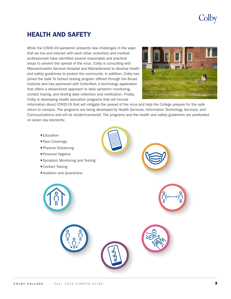## Colby

### <span id="page-5-0"></span>HEALTH AND SAFETY

While the COVID-19 pandemic presents new challenges in the ways that we live and interact with each other, scientists and medical professionals have identified several reasonable and practical steps to prevent the spread of the virus. Colby is consulting with Massachusetts General Hospital and MaineGeneral to develop health and safety guidelines to protect the community. In addition, Colby has joined the Safe To School testing program offered through the Broad Institute and has partnered with CoVerified, a technology application that offers a streamlined approach to daily symptom monitoring, contact tracing, and testing data collection and notification. Finally, Colby is developing health education programs that will include



information about COVID-19 that will mitigate the spread of the virus and help the College prepare for the safe return to campus. The programs are being developed by Health Services, Information Technology Services, and Communications and will be student-centered. The programs and the health and safety guidelines are predicated on seven key elements:

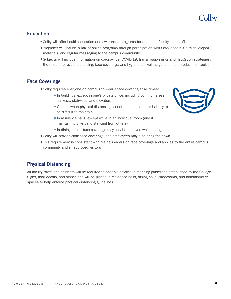### <span id="page-6-0"></span>**Education**

- $\bullet$  Colby will offer health education and awareness programs for students, faculty, and staff.
- <sup>l</sup>Programs will include a mix of online programs through participation with SafeSchools, Colby-developed materials, and regular messaging to the campus community.
- Subjects will include information on coronavirus, COVID-19, transmission risks and mitigation strategies, the roles of physical distancing, face coverings, and hygiene, as well as general health education topics.

### Face Coverings

- Colby requires everyone on campus to wear a face covering at all times:
	- In buildings, except in one's private office, including common areas, hallways, stairwells, and elevators
	- Outside when physical distancing cannot be maintained or is likely to be difficult to maintain
	- In residence halls, except while in an individual room (and if maintaining physical distancing from others)
	- In dining halls—face coverings may only be removed while eating
- Colby will provide cloth face coverings, and employees may also bring their own
- This requirement is consistent with Maine's orders on face coverings and applies to the entire campus community and all approved visitors

### Physical Distancing

All faculty, staff, and students will be required to observe physical distancing guidelines established by the College. Signs, floor decals, and stanchions will be placed in residence halls, dining halls, classrooms, and administrative spaces to help enforce physical distancing guidelines.

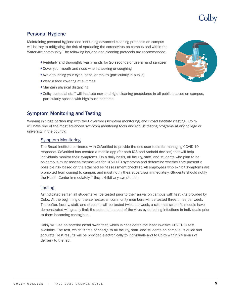

### <span id="page-7-0"></span>Personal Hygiene

Maintaining personal hygiene and instituting advanced cleaning protocols on campus will be key to mitigating the risk of spreading the coronavirus on campus and within the Waterville community. The following hygiene and cleaning protocols are recommended:

- Regularly and thoroughly wash hands for 20 seconds or use a hand sanitizer
- $\bullet$  Cover your mouth and nose when sneezing or coughing
- Avoid touching your eyes, nose, or mouth (particularly in public)
- Wear a face covering at all times
- Maintain physical distancing
- Colby custodial staff will institute new and rigid cleaning procedures in all public spaces on campus, particularly spaces with high-touch contacts

### Symptom Monitoring and Testing

Working in close partnership with the CoVerified (symptom monitoring) and Broad Institute (testing), Colby will have one of the most advanced symptom monitoring tools and robust testing programs at any college or university in the country.

#### Symptom Monitoring

The Broad Institute partnered with CoVerified to provide the end-user tools for managing COVID-19 response. CoVerified has created a mobile app (for both iOS and Android devices) that will help individuals monitor their symptoms. On a daily basis, all faculty, staff, and students who plan to be on campus must assess themselves for COVID-19 symptoms and determine whether they present a possible risk based on the attached self-assessment checklist. All employees who exhibit symptoms are prohibited from coming to campus and must notify their supervisor immediately. Students should notify the Health Center immediately if they exhibit any symptoms.

#### **Testing**

As indicated earlier, all students will be tested prior to their arrival on campus with test kits provided by Colby. At the beginning of the semester, all community members will be tested three times per week. Thereafter, faculty, staff, and students will be tested twice per week, a rate that scientific models have demonstrated will greatly limit the potential spread of the virus by detecting infections in individuals prior to them becoming contagious.

Colby will use an anterior nasal swab test, which is considered the least invasive COVID-19 test available. The test, which is free of charge to all faculty, staff, and students on campus, is quick and accurate. Test results will be provided electronically to individuals and to Colby within 24 hours of delivery to the lab.

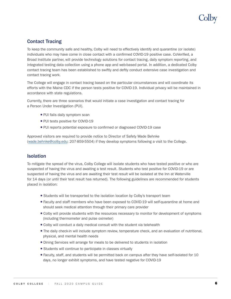# olby

### <span id="page-8-0"></span>Contact Tracing

To keep the community safe and healthy, Colby will need to effectively identify and quarantine (or isolate) individuals who may have come in close contact with a confirmed COVID-19 positive case. CoVerified, a Broad Institute partner, will provide technology solutions for contact tracing, daily symptom reporting, and integrated testing data collection using a phone app and web-based portal. In addition, a dedicated Colby contact tracing team has been established to swiftly and deftly conduct extensive case investigation and contact tracing work.

The College will engage in contact tracing based on the particular circumstances and will coordinate its efforts with the Maine CDC if the person tests positive for COVID-19. Individual privacy will be maintained in accordance with state regulations.

Currently, there are three scenarios that would initiate a case investigation and contact tracing for a Person Under Investigation (PUI).

- PUI fails daily symptom scan
- PUI tests positive for COVID-19
- <sup>l</sup> PUI reports potential exposure to confirmed or diagnosed COVID-19 case

Approved visitors are required to provide notice to Director of Safety Wade Behnke (wade.behnke@colby.edu; 207-859-5504) if they develop symptoms following a visit to the College.

### Isolation

To mitigate the spread of the virus, Colby College will isolate students who have tested positive or who are suspected of having the virus and awaiting a test result. Students who test positive for COVID-19 or are suspected of having the virus and are awaiting their test result will be isolated at the Inn at Waterville for 14 days (or until their test result has returned). The following guidelines are recommended for students placed in isolation:

- Students will be transported to the isolation location by Colby's transport team
- <sup>l</sup> Faculty and staff members who have been exposed to COVID-19 will self-quarantine at home and should seek medical attention through their primary care provider
- Colby will provide students with the resources necessary to monitor for development of symptoms (including thermometer and pulse oximeter)
- Colby will conduct a daily medical consult with the student via telehealth
- The daily check-in will include symptom review, temperature check, and an evaluation of nutritional, physical, and mental health needs
- Dining Services will arrange for meals to be delivered to students in isolation
- **Students will continue to participate in classes virtually**
- Faculty, staff, and students will be permitted back on campus after they have self-isolated for 10 days, no longer exhibit symptoms, and have tested negative for COVID-19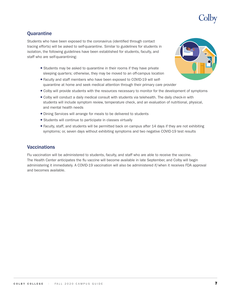

### <span id="page-9-0"></span>**Quarantine**

Students who have been exposed to the coronavirus (identified through contact tracing efforts) will be asked to self-quarantine. Similar to guidelines for students in isolation, the following guidelines have been established for students, faculty, and staff who are self-quarantining:

- Students may be asked to quarantine in their rooms if they have private sleeping quarters; otherwise, they may be moved to an off-campus location
- l Faculty and staff members who have been exposed to COVID-19 will selfquarantine at home and seek medical attention through their primary care provider
- $\bullet$  Colby will provide students with the resources necessary to monitor for the development of symptoms
- <sup>l</sup> Colby will conduct a daily medical consult with students via telehealth. The daily check-in with students will include symptom review, temperature check, and an evaluation of nutritional, physical, and mental health needs
- Dining Services will arrange for meals to be delivered to students
- Students will continue to participate in classes virtually
- Faculty, staff, and students will be permitted back on campus after 14 days if they are not exhibiting symptoms; or, seven days without exhibiting symptoms and two negative COVID-19 test results

### **Vaccinations**

Flu vaccination will be administered to students, faculty, and staff who are able to receive the vaccine. The Health Center anticipates the flu vaccine will become available in late September, and Colby will begin administering it immediately. A COVID-19 vaccination will also be administered if/when it receives FDA approval and becomes available.

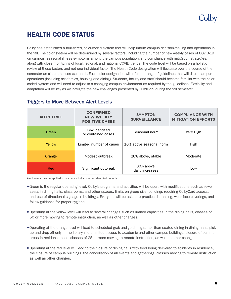### <span id="page-10-0"></span>HEALTH CODE STATUS

Colby has established a four-tiered, color-coded system that will help inform campus decision-making and operations in the fall. The color system will be determined by several factors, including the number of new weekly cases of COVID-19 on campus, seasonal illness symptoms among the campus population, and compliance with mitigation strategies, along with close monitoring of local, regional, and national COVID trends. The code level will be based on a holistic review of these factors and not one individual factor. The Health Code designation will fluctuate over the course of the semester as circumstances warrant it. Each color designation will inform a range of guidelines that will direct campus operations (including academics, housing and dining). Students, faculty and staff should become familiar with the colorcoded system and will need to adjust to a changing campus environment as required by the guidelines. Flexibility and adaptation will be key as we navigate the new challenges presented by COVID-19 during the fall semester.

| <b>ALERT LEVEL</b> | <b>CONFIRMED</b><br><b>NEW WEEKLY</b><br><b>POSITIVE CASES</b> | <b>SYMPTON</b><br><b>SURVEILLANCE</b> | <b>COMPLIANCE WITH</b><br><b>MITIGATION EFFORTS</b> |
|--------------------|----------------------------------------------------------------|---------------------------------------|-----------------------------------------------------|
| Green              | Few identified<br>or contained cases                           | Seasonal norm                         | Very High                                           |
| Yellow             | Limited number of cases                                        | 10% above seasonal norm               | High                                                |
| Orange             | Modest outbreak                                                | 20% above, stable                     | Moderate                                            |
| Red                | Significant outbreak                                           | 30% above,<br>daily increases         | Low                                                 |

### Triggers to Move Between Alert Levels

Alert levels may be applied to residence halls or other identified cohorts.

- <sup>l</sup>Green is the regular operating level. Colby's programs and activities will be open, with modifications such as fewer seats in dining halls, classrooms, and other spaces; limits on group size; buildings requiring ColbyCard access, and use of directional signage in buildings. Everyone will be asked to practice distancing, wear face coverings, and follow guidance for proper hygiene.
- <sup>l</sup>Operating at the yellow level will lead to several changes such as limited capacities in the dining halls, classes of 50 or more moving to remote instruction, as well as other changes.
- l Operating at the orange level will lead to scheduled grab-and-go dining rather than seated dining in dining halls, pickup and drop-off only in the library, more limited access to academic and other campus buildings, closure of common areas in residence halls, classes of 25 or more moving to remote instruction, as well as other changes.
- Operating at the red level will lead to the closure of dining halls with food being delivered to students in residence, the closure of campus buildings, the cancellation of all events and gatherings, classes moving to remote instruction, as well as other changes.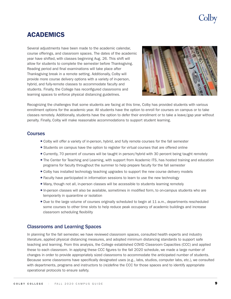### <span id="page-11-0"></span>ACADEMICS

Several adjustments have been made to the academic calendar, course offerings, and classroom spaces. The dates of the academic year have shifted, with classes beginning Aug. 26. This shift will allow for students to complete the semester before Thanksgiving. Reading period and final examinations will take place after Thanksgiving break in a remote setting. Additionally, Colby will provide more course delivery options with a variety of in-person, hybrid, and fully-remote classes to accommodate faculty and students. Finally, the College has reconfigured classrooms and learning spaces to enforce physical distancing guidelines.



Recognizing the challenges that some students are facing at this time, Colby has provided students with various enrollment options for the academic year. All students have the option to enroll for courses on campus or to take classes remotely. Additionally, students have the option to defer their enrollment or to take a leave/gap year without penalty. Finally, Colby will make reasonable accommodations to support student learning.

#### **Courses**

- Colby will offer a variety of in-person, hybrid, and fully remote courses for the fall semester
- Students on campus have the option to register for virtual courses that are offered online
- <sup>l</sup> Currently, 70 percent of courses will be taught in person/hybrid with 30 percent being taught remotely
- The Center for Teaching and Learning, with support from Academic ITS, has hosted training and education programs for faculty throughout the summer to help prepare faculty for the fall semester
- Colby has installed technology teaching upgrades to support the new course delivery models
- <sup>l</sup> Faculty have participated in information sessions to learn to use the new technology
- Many, though not all, in-person classes will be accessible to students learning remotely
- <sup>l</sup> In-person classes will also be available, sometimes in modified form, to on-campus students who are temporarily in quarantine or isolation
- Due to the large volume of courses originally scheduled to begin at 11 a.m., departments rescheduled some courses to other time slots to help reduce peak occupancy of academic buildings and increase classroom scheduling flexibility

### Classrooms and Learning Spaces

In planning for the fall semester, we have reviewed classroom spaces, consulted health experts and industry literature, applied physical distancing measures, and adopted minimum distancing standards to support safe teaching and learning. From this analysis, the College established COVID Classroom Capacities (CCC) and applied these to each classroom. In applying these CCC figures to the fall 2020 schedule, we made a large number of changes in order to provide appropriately sized classrooms to accommodate the anticipated number of students. Because some classrooms have specifically designated uses (e.g., labs, studios, computer labs, etc.), we consulted with departments, programs and instructors to (re)define the CCC for those spaces and to identify appropriate operational protocols to ensure safety.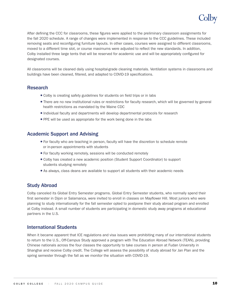## jolby

<span id="page-12-0"></span>After defining the CCC for classrooms, these figures were applied to the preliminary classroom assignments for the fall 2020 schedule. A range of changes were implemented in response to the CCC guidelines. These included removing seats and reconfiguring furniture layouts. In other cases, courses were assigned to different classrooms, moved to a different time slot, or course maximums were adjusted to reflect the new standards. In addition, Colby installed three large tents that will be reserved for academic use and will be appropriately configured for designated courses.

All classrooms will be cleaned daily using hospital-grade cleaning materials. Ventilation systems in classrooms and buildings have been cleaned, filtered, and adapted to COVID-19 specifications.

### Research

- Colby is creating safety guidelines for students on field trips or in labs
- There are no new institutional rules or restrictions for faculty research, which will be governed by general health restrictions as mandated by the Maine CDC
- Individual faculty and departments will develop departmental protocols for research
- PPE will be used as appropriate for the work being done in the labs

### Academic Support and Advising

- For faculty who are teaching in person, faculty will have the discretion to schedule remote or in-person appointments with students
- For faculty working remotely, sessions will be conducted remotely
- <sup>l</sup> Colby has created a new academic position (Student Support Coordinator) to support students studying remotely
- As always, class deans are available to support all students with their academic needs

### Study Abroad

Colby canceled its Global Entry Semester programs. Global Entry Semester students, who normally spend their first semester in Dijon or Salamanca, were invited to enroll in classes on Mayflower Hill. Most juniors who were planning to study internationally for the fall semester opted to postpone their study abroad program and enrolled at Colby instead. A small number of students are participating in domestic study away programs at educational partners in the U.S.

### International Students

When it became apparent that ICE regulations and visa issues were prohibiting many of our international students to return to the U.S., Off-Campus Study approved a program with The Education Abroad Network (TEAN), providing Chinese nationals across the four classes the opportunity to take courses in person at Fudan University in Shanghai and receive Colby credit. The College will assess the possibility of study abroad for Jan Plan and the spring semester through the fall as we monitor the situation with COVID-19.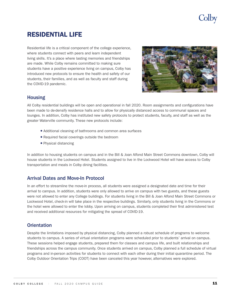## **Jolby**

### <span id="page-13-0"></span>RESIDENTIAL LIFE

Residential life is a critical component of the college experience, where students connect with peers and learn independent living skills. It's a place where lasting memories and friendships are made. While Colby remains committed to making sure students have a positive experience living on campus, Colby has introduced new protocols to ensure the health and safety of our students, their families, and as well as faculty and staff during the COVID-19 pandemic.



### Housing

All Colby residential buildings will be open and operational in fall 2020. Room assignments and configurations have been made to de-densify residence halls and to allow for physically distanced access to communal spaces and lounges. In addition, Colby has instituted new safety protocols to protect students, faculty, and staff as well as the greater Waterville community. These new protocols include:

- <sup>l</sup> Additional cleaning of bathrooms and common area surfaces
- Required facial coverings outside the bedroom
- Physical distancing

In addition to housing students on campus and in the Bill & Joan Alfond Main Street Commons downtown, Colby will house students in the Lockwood Hotel. Students assigned to live in the Lockwood Hotel will have access to Colby transportation and meals in Colby dining facilities.

### Arrival Dates and Move-In Protocol

In an effort to streamline the move-in process, all students were assigned a designated date and time for their arrival to campus. In addition, students were only allowed to arrive on campus with two guests, and these guests were not allowed to enter any College buildings. For students living in the Bill & Joan Alfond Main Street Commons or Lockwood Hotel, check-in will take place in the respective buildings. Similarly, only students living in the Commons or the hotel were allowed to enter the lobby. Upon arriving on campus, students completed their first administered test and received additional resources for mitigating the spread of COVID-19.

### **Orientation**

Despite the limitations imposed by physical distancing, Colby planned a robust schedule of programs to welcome students to campus. A series of virtual orientation programs were scheduled prior to students' arrival on campus. These sessions helped engage students, prepared them for classes and campus life, and built relationships and friendships across the campus community. Once students arrived on campus, Colby planned a full schedule of virtual programs and in-person activities for students to connect with each other during their initial quarantine period. The Colby Outdoor Orientation Trips (COOT) have been canceled this year however, alternatives were explored.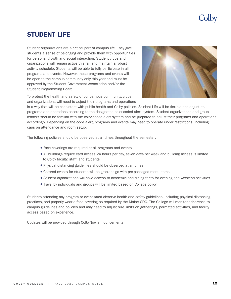### <span id="page-14-0"></span>STUDENT LIFE

Student organizations are a critical part of campus life. They give students a sense of belonging and provide them with opportunities for personal growth and social interaction. Student clubs and organizations will remain active this fall and maintain a robust activity schedule. Students will be able to fully participate in all programs and events. However, these programs and events will be open to the campus community only this year and must be approved by the Student Government Association and/or the Student Programming Board.



To protect the health and safety of our campus community, clubs and organizations will need to adjust their programs and operations

in a way that will be consistent with public health and Colby policies. Student Life will be flexible and adjust its programs and operations according to the designated color-coded alert system. Student organizations and group leaders should be familiar with the color-coded alert system and be prepared to adjust their programs and operations accordingly. Depending on the code alert, programs and events may need to operate under restrictions, including caps on attendance and room setup.

The following policies should be observed at all times throughout the semester:

- Face coverings are required at all programs and events
- All buildings require card access 24 hours per day, seven days per week and building access is limited to Colby faculty, staff, and students
- <sup>l</sup> Physical distancing guidelines should be observed at all times
- Catered events for students will be grab-and-go with pre-packaged menu items
- Student organizations will have access to academic and dining tents for evening and weekend activities
- Travel by individuals and groups will be limited based on College policy

Students attending any program or event must observe health and safety guidelines, including physical distancing practices, and properly wear a face covering as required by the Maine CDC. The College will monitor adherence to campus guidelines and policies and may need to adjust size limits on gatherings, permitted activities, and facility access based on experience.

Updates will be provided through ColbyNow announcements.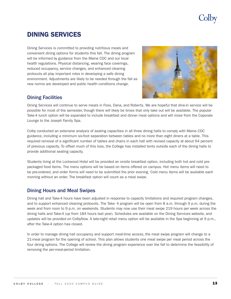### <span id="page-15-0"></span>DINING SERVICES

Dining Services is committed to providing nutritious meals and convenient dining options for students this fall. The dining program will be informed by guidance from the Maine CDC and our local health regulations. Physical distancing, wearing face coverings, reduced occupancy, service changes, and enhanced cleaning protocols all play important roles in developing a safe dining environment. Adjustments are likely to be needed through the fall as new norms are developed and public health conditions change.



### Dining Facilities

Dining Services will continue to serve meals in Foss, Dana, and Roberts. We are hopeful that dine-in service will be possible for most of the semester, though there will likely be times that only take out will be available. The popular Take-4 lunch option will be expanded to include breakfast and dinner meal options and will move from the Caporale Lounge to the Joseph Family Spa.

Colby conducted an extensive analysis of seating capacities in all three dining halls to comply with Maine CDC guidance, including a minimum six-foot separation between tables and no more than eight diners at a table. This required removal of a significant number of tables and chairs in each hall with revised capacity at about 64 percent of previous capacity. To offset much of this loss, the College has installed tents outside each of the dining halls to provide additional seating capacity.

Students living at the Lockwood Hotel will be provided an onsite breakfast option, including both hot and cold prepackaged food items. The menu options will be based on items offered on campus. Hot menu items will need to be pre-ordered, and order forms will need to be submitted the prior evening. Cold menu items will be available each morning without an order. The breakfast option will count as a meal swipe.

### Dining Hours and Meal Swipes

Dining hall and Take-4 hours have been adjusted in response to capacity limitations and required program changes, and to support enhanced cleaning protocols. The Take- 4 program will be open from 8 a.m. through 9 p.m. during the week and from noon to 9 p.m. on weekends. Students may now use their meal swipe 219 hours per week across the dining halls and Take-4 (up from 184 hours last year). Schedules are available on the Dining Services website, and updates will be provided on ColbyNow. A late-night retail menu option will be available in the Spa beginning at 9 p.m., after the Take-4 option has closed.

In order to manage dining hall occupancy and support meal-time access, the meal swipe program will change to a 21-meal program for the opening of school. This plan allows students one meal swipe per meal period across the four dining options. The College will review the dining program experience over the fall to determine the feasibility of removing the per-meal-period limitation.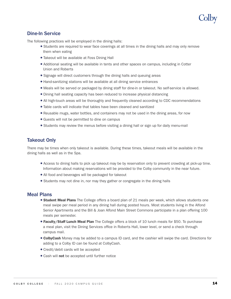### <span id="page-16-0"></span>Dine-In Service

The following practices will be employed in the dining halls:

- Students are required to wear face coverings at all times in the dining halls and may only remove them when eating
- Takeout will be available at Foss Dining Hall
- Additional seating will be available in tents and other spaces on campus, including in Cotter Union and Roberts
- Signage will direct customers through the dining halls and queuing areas
- Hand-sanitizing stations will be available at all dining service entrances
- Meals will be served or packaged by dining staff for dine-in or takeout. No self-service is allowed.
- Dining hall seating capacity has been reduced to increase physical distancing
- All high-touch areas will be thoroughly and frequently cleaned according to CDC recommendations
- Table cards will indicate that tables have been cleaned and sanitized
- Reusable mugs, water bottles, and containers may not be used in the dining areas, for now
- Guests will not be permitted to dine on campus
- Students may review the menus before visiting a dining hall or sign up for daily menu-mail

### Takeout Only

There may be times when only takeout is available. During these times, takeout meals will be available in the dining halls as well as in the Spa.

- <sup>l</sup> Access to dining halls to pick up takeout may be by reservation only to prevent crowding at pick-up time. Information about making reservations will be provided to the Colby community in the near future.
- All food and beverages will be packaged for takeout
- Students may not dine in, nor may they gather or congregate in the dining halls

### Meal Plans

- **Student Meal Plans** The College offers a board plan of 21 meals per week, which allows students one meal swipe per meal period in any dining hall during posted hours. Most students living in the Alfond Senior Apartments and the Bill & Joan Alfond Main Street Commons participate in a plan offering 100 meals per semester.
- **Faculty/Staff Lunch Meal Plan** The College offers a block of 10 lunch meals for \$50. To purchase a meal plan, visit the Dining Services office in Roberts Hall, lower level, or send a check through campus mail.
- **ColbyCash** Money may be added to a campus ID card, and the cashier will swipe the card. Directions for adding to a Colby ID can be found at ColbyCash.
- Credit/debit cards will be accepted
- Cash will not be accepted until further notice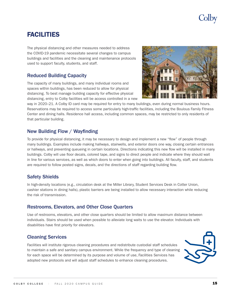### <span id="page-17-0"></span>FACILITIES

The physical distancing and other measures needed to address the COVID-19 pandemic necessitate several changes to campus buildings and facilities and the cleaning and maintenance protocols used to support faculty, students, and staff.

### Reduced Building Capacity

The capacity of many buildings, and many individual rooms and spaces within buildings, has been reduced to allow for physical distancing. To best manage building capacity for effective physical distancing, entry to Colby facilities will be access controlled in a new



way in 2020–21. A Colby ID card may be required for entry to many buildings, even during normal business hours. Reservations may be required to access some particularly high-traffic facilities, including the Boulous Family Fitness Center and dining halls. Residence hall access, including common spaces, may be restricted to only residents of that particular building.

### New Building Flow / Wayfinding

To provide for physical distancing, it may be necessary to design and implement a new "flow" of people through many buildings. Examples include making hallways, stairwells, and exterior doors one way, closing certain entrances or hallways, and preventing queueing in certain locations. Directions indicating this new flow will be installed in many buildings. Colby will use floor decals, colored tape, and signs to direct people and indicate where they should wait in line for various services, as well as which doors to enter when going into buildings. All faculty, staff, and students are required to follow posted signs, decals, and the directions of staff regarding building flow.

### Safety Shields

In high-density locations (e.g., circulation desk at the Miller Library, Student Services Desk in Cotter Union, cashier stations in dining halls), plastic barriers are being installed to allow necessary interaction while reducing the risk of transmission.

### Restrooms, Elevators, and Other Close Quarters

Use of restrooms, elevators, and other close quarters should be limited to allow maximum distance between individuals. Stairs should be used when possible to alleviate long waits to use the elevator. Individuals with disabilities have first priority for elevators.

### Cleaning Services

Facilities will institute rigorous cleaning procedures and redistribute custodial staff schedules to maintain a safe and sanitary campus environment. While the frequency and type of cleaning for each space will be determined by its purpose and volume of use, Facilities Services has adopted new protocols and will adjust staff schedules to enhance cleaning procedures.

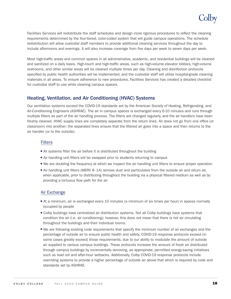

<span id="page-18-0"></span>Facilities Services will redistribute the staff schedules and design more rigorous procedures to reflect the cleaning requirements determined by the four-tiered, color-coded system that will guide campus operations. The schedule redistribution will allow custodial staff members to provide additional cleaning services throughout the day to include afternoons and evenings. It will also increase coverage from five days per week to seven days per week.

Most high-traffic areas and common spaces in all administrative, academic, and residential buildings will be cleaned and sanitized on a daily basis. High-touch and high-traffic areas, such as high-volume elevator lobbies, high-volume restrooms, and other similar areas will be cleaned multiple times per day. Cleaning and disinfection protocols specified by public health authorities will be implemented, and the custodial staff will utilize hospital-grade cleaning materials in all areas. To ensure adherence to new procedures, Facilities Services has created a detailed checklist for custodial staff to use while cleaning campus spaces.

### Heating, Ventilation, and Air Conditioning (HVAC) Systems

Our ventilation systems exceed the COVID-19 standards set by the American Society of Heating, Refrigerating, and Air-Conditioning Engineers (ASHRAE). The air in campus spaces is exchanged every 6-10 minutes and runs through multiple filters as part of the air handling process. The filters are changed regularly, and the air handlers have been freshly cleaned. HVAC supply lines are completely separate from the return lines. Air does not go from one office (or classroom) into another; the separated lines ensure that the filtered air goes into a space and then returns to the air handler (or to the outside).

#### Filters

- All systems filter the air before it is distributed throughout the building
- Air handling unit filters will be swapped prior to students returning to campus
- <sup>l</sup> We are doubling the frequency at which we inspect the air handling unit filters to ensure proper operation
- Air handling unit filters (MERV 8 -14) remove dust and particulates from the outside air and return air, when applicable, prior to distributing throughout the building via a physical filtered medium as well as by providing a tortuous flow path for the air

#### Air Exchange

- <sup>l</sup> At a minimum, air is exchanged every 10 minutes (a minimum of six times per hour) in spaces normally occupied by people
- <sup>l</sup> Colby buildings have centralized air distribution systems. Not all Colby buildings have systems that condition the air (i.e. air conditioning); however, this does not mean that there is not air circulating throughout the buildings and their individual rooms.
- We are following existing code requirements that specify the minimum number of air exchanges and the percentage of outside air to ensure public health and safety. COVID-19 response protocols exceed (in some cases greatly exceed) those requirements, due to our ability to modulate the amount of outside air supplied to various campus buildings. These protocols increase the amount of fresh air distributed through campus buildings by incrementally removing, as appropriate, permitted energy-saving initiatives such as load roll and after-hour setbacks. Additionally, Colby COVID-19 response protocols include overriding systems to provide a higher percentage of outside air above that which is required by code and standards set by ASHRAE.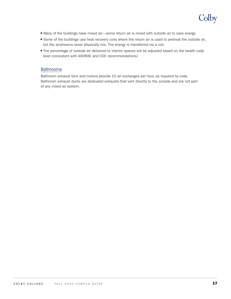

- <sup>l</sup> Many of the buildings have mixed air—some return air is mixed with outside air to save energy
- Some of the buildings use heat recovery coils where the return air is used to pretreat the outside air, but the airstreams never physically mix. The energy is transferred via a coil.
- The percentage of outside air delivered to interior spaces will be adjusted based on the health code level (consistent with ASHRAE and CDC recommendations)

#### Bathrooms

Bathroom exhaust fans and motors provide 10 air exchanges per hour, as required by code. Bathroom exhaust ducts are dedicated exhausts that vent directly to the outside and are not part of any mixed air system.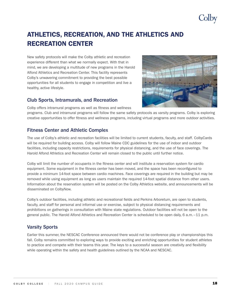## olby

### <span id="page-20-0"></span>ATHLETICS, RECREATION, AND THE ATHLETICS AND RECREATION CENTER

New safety protocols will make the Colby athletic and recreation experience different than what we normally expect. With that in mind, we are developing a multitude of new programs in the Harold Alfond Athletics and Recreation Center. This facility represents Colby's unwavering commitment to providing the best possible opportunities for all students to engage in competition and live a healthy, active lifestyle.

#### Club Sports, Intramurals, and Recreation

Colby offers intramural programs as well as fitness and wellness

programs. Club and intramural programs will follow the same safety protocols as varsity programs. Colby is exploring creative opportunities to offer fitness and wellness programs, including virtual programs and more outdoor activities.

### Fitness Center and Athletic Complex

The use of Colby's athletic and recreation facilities will be limited to current students, faculty, and staff. ColbyCards will be required for building access. Colby will follow Maine CDC guidelines for the use of indoor and outdoor facilities, including capacity restrictions, requirements for physical distancing, and the use of face coverings. The Harold Alfond Athletics and Recreation Center will remain closed to the public until further notice.

Colby will limit the number of occupants in the fitness center and will institute a reservation system for cardio equipment. Some equipment in the fitness center has been moved, and the space has been reconfigured to provide a minimum 14-foot space between cardio machines. Face coverings are required in the building but may be removed while using equipment as long as users maintain the required 14-foot spatial distance from other users. Information about the reservation system will be posted on the Colby Athletics website, and announcements will be disseminated on ColbyNow.

Colby's outdoor facilities, including athletic and recreational fields and Perkins Arboretum, are open to students, faculty, and staff for personal and informal use or exercise, subject to physical distancing requirements and prohibitions on gatherings in consultation with Maine state regulations. Outdoor facilities will not be open to the general public. The Harold Alfond Athletics and Recreation Center is scheduled to be open daily, 6 a.m. –11 p.m.

### Varsity Sports

Earlier this summer, the NESCAC Conference announced there would not be conference play or championships this fall. Colby remains committed to exploring ways to provide exciting and enriching opportunities for student athletes to practice and compete with their teams this year. The keys to a successful season are creativity and flexibility while operating within the safety and health guidelines outlined by the NCAA and NESCAC.

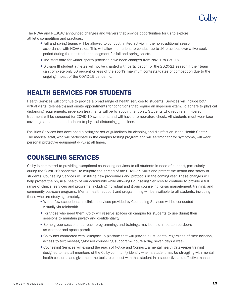

<span id="page-21-0"></span>The NCAA and NESCAC announced changes and waivers that provide opportunities for us to explore athletic competition and practices:

- Fall and spring teams will be allowed to conduct limited activity in the non-traditional season in accordance with NCAA rules. This will allow institutions to conduct up to 16 practices over a five-week period during the non-traditional segment for fall and spring sports.
- The start date for winter sports practices have been changed from Nov. 1 to Oct. 15.
- Division III student athletes will not be charged with participation for the 2020-21 season if their team can complete only 50 percent or less of the sport's maximum contests/dates of competition due to the ongoing impact of the COVID-19 pandemic.

### HEALTH SERVICES FOR STUDENTS

Health Services will continue to provide a broad range of health services to students. Services will include both virtual visits (telehealth) and onsite appointments for conditions that require an in-person exam. To adhere to physical distancing requirements, in-person treatments will be by appointment only. Students who require an in-person treatment will be screened for COVID-19 symptoms and will have a temperature check. All students must wear face coverings at all times and adhere to physical distancing guidelines.

Facilities Services has developed a stringent set of guidelines for cleaning and disinfection in the Health Center. The medical staff, who will participate in the campus testing program and will self-monitor for symptoms, will wear personal protective equipment (PPE) at all times.

### COUNSELING SERVICES

Colby is committed to providing exceptional counseling services to all students in need of support, particularly during the COVID-19 pandemic. To mitigate the spread of the COVID-19 virus and protect the health and safety of students, Counseling Services will institute new procedures and protocols in the coming year. These changes will help protect the physical health of our community while allowing Counseling Services to continue to provide a full range of clinical services and programs, including individual and group counseling, crisis management, training, and community outreach programs. Mental health support and programming will be available to all students, including those who are studying remotely.

- <sup>l</sup> With a few exceptions, all clinical services provided by Counseling Services will be conducted virtually via telehealth
- For those who need them, Colby will reserve spaces on campus for students to use during their sessions to maintain privacy and confidentiality
- Some group sessions, outreach programming, and trainings may be held in person outdoors as weather and space permit
- <sup>l</sup> Colby has contracted with Talkspace, a platform that will provide all students, regardless of their location, access to text messaging-based counseling support 24 hours a day, seven days a week
- <sup>l</sup> Counseling Services will expand the reach of Notice and Connect, a mental health gatekeeper training designed to help all members of the Colby community identify when a student may be struggling with mental health concerns and give them the tools to connect with that student in a supportive and effective manner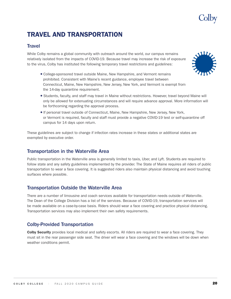### <span id="page-22-0"></span>TRAVEL AND TRANSPORTATION

### **Travel**

While Colby remains a global community with outreach around the world, our campus remains relatively isolated from the impacts of COVID-19. Because travel may increase the risk of exposure to the virus, Colby has instituted the following temporary travel restrictions and guidelines:

- College-sponsored travel outside Maine, New Hampshire, and Vermont remains prohibited. Consistent with Maine's recent guidance, employee travel between Connecticut, Maine, New Hampshire, New Jersey, New York, and Vermont is exempt from the 14-day quarantine requirement.
- Students, faculty, and staff may travel in Maine without restrictions. However, travel beyond Maine will only be allowed for extenuating circumstances and will require advance approval. More information will be forthcoming regarding the approval process.
- <sup>l</sup> If personal travel outside of Connecticut, Maine, New Hampshire, New Jersey, New York, or Vermont is required, faculty and staff must provide a negative COVID-19 test or self-quarantine off campus for 14 days upon return.

These guidelines are subject to change if infection rates increase in these states or additional states are exempted by executive order.

### Transportation in the Waterville Area

Public transportation in the Waterville area is generally limited to taxis, Uber, and Lyft. Students are required to follow state and any safety guidelines implemented by the provider. The State of Maine requires all riders of public transportation to wear a face covering. It is suggested riders also maintain physical distancing and avoid touching surfaces where possible.

### Transportation Outside the Waterville Area

There are a number of limousine and coach services available for transportation needs outside of Waterville. The Dean of the College Division has a list of the services. Because of COVID-19, transportation services will be made available on a case-by-case basis. Riders should wear a face covering and practice physical distancing. Transportation services may also implement their own safety requirements.

### Colby-Provided Transportation

Colby Security provides local medical and safety escorts. All riders are required to wear a face covering. They must sit in the rear passenger side seat. The driver will wear a face covering and the windows will be down when weather conditions permit.



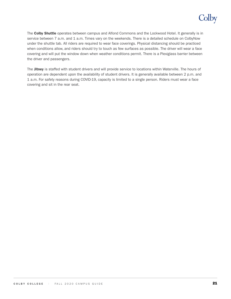## Colby

The Colby Shuttle operates between campus and Alfond Commons and the Lockwood Hotel. It generally is in service between 7 a.m. and 1 a.m. Times vary on the weekends. There is a detailed schedule on ColbyNow under the shuttle tab. All riders are required to wear face coverings. Physical distancing should be practiced when conditions allow, and riders should try to touch as few surfaces as possible. The driver will wear a face covering and will put the window down when weather conditions permit. There is a Plexiglass barrier between the driver and passengers.

The Jitney is staffed with student drivers and will provide service to locations within Waterville. The hours of operation are dependent upon the availability of student drivers. It is generally available between 2 p.m. and 1 a.m. For safety reasons during COVID-19, capacity is limited to a single person. Riders must wear a face covering and sit in the rear seat.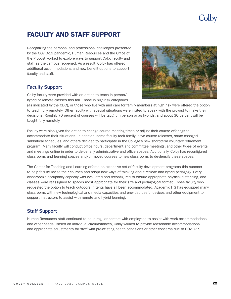# olby

## <span id="page-24-0"></span>FACULTY AND STAFF SUPPORT

Recognizing the personal and professional challenges presented by the COVID-19 pandemic, Human Resources and the Office of the Provost worked to explore ways to support Colby faculty and staff as the campus reopened. As a result, Colby has offered additional accommodations and new benefit options to support faculty and staff.

### Faculty Support

Colby faculty were provided with an option to teach in person/ hybrid or remote classes this fall. Those in high-risk categories



(as indicated by the CDC), or those who live with and care for family members at high risk were offered the option to teach fully remotely. Other faculty with special situations were invited to speak with the provost to make their decisions. Roughly 70 percent of courses will be taught in person or as hybrids, and about 30 percent will be taught fully remotely.

Faculty were also given the option to change course meeting times or adjust their course offerings to accommodate their situations. In addition, some faculty took family leave course releases, some changed sabbatical schedules, and others decided to participate in the College's new short-term voluntary retirement program. Many faculty will conduct office hours, department and committee meetings, and other types of events and meetings online in order to de-densify administrative and office spaces. Additionally, Colby has reconfigured classrooms and learning spaces and/or moved courses to new classrooms to de-densify these spaces.

The Center for Teaching and Learning offered an extensive set of faculty development programs this summer to help faculty revise their courses and adopt new ways of thinking about remote and hybrid pedagogy. Every classroom's occupancy capacity was evaluated and reconfigured to ensure appropriate physical distancing, and classes were reassigned to spaces most appropriate for their size and pedagogical format. Those faculty who requested the option to teach outdoors in tents have all been accommodated. Academic ITS has equipped many classrooms with new technological and media capacities and provided useful devices and other equipment to support instructors to assist with remote and hybrid learning.

### Staff Support

Human Resources staff continued to be in regular contact with employees to assist with work accommodations and other needs. Based on individual circumstances, Colby worked to provide reasonable accommodations and appropriate adjustments for staff with pre-existing health conditions or other concerns due to COVID-19.